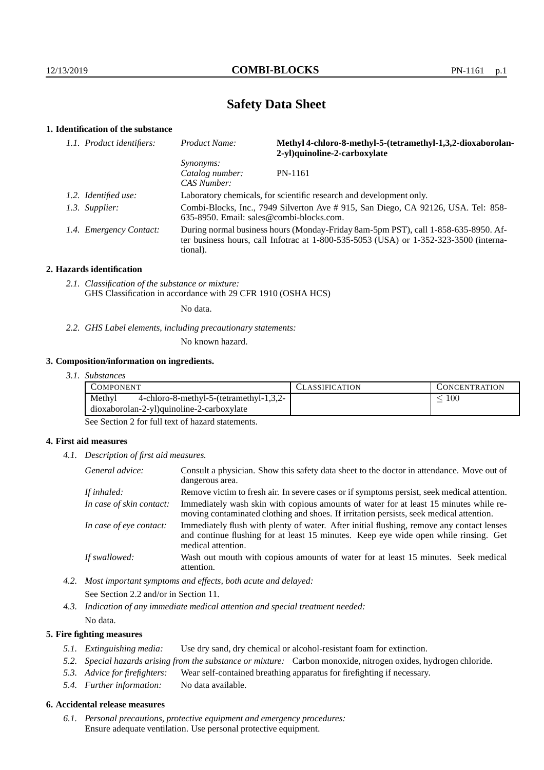# **Safety Data Sheet**

## **1. Identification of the substance**

| 1.1. Product identifiers: | Product Name:                                                       | Methyl 4-chloro-8-methyl-5-(tetramethyl-1,3,2-dioxaborolan-<br>2-yl)quinoline-2-carboxylate                                                                                 |
|---------------------------|---------------------------------------------------------------------|-----------------------------------------------------------------------------------------------------------------------------------------------------------------------------|
|                           | <i>Synonyms:</i><br>Catalog number:<br>CAS Number:                  | PN-1161                                                                                                                                                                     |
| 1.2. Identified use:      | Laboratory chemicals, for scientific research and development only. |                                                                                                                                                                             |
| 1.3. Supplier:            | 635-8950. Email: sales@combi-blocks.com.                            | Combi-Blocks, Inc., 7949 Silverton Ave # 915, San Diego, CA 92126, USA. Tel: 858-                                                                                           |
| 1.4. Emergency Contact:   | tional).                                                            | During normal business hours (Monday-Friday 8am-5pm PST), call 1-858-635-8950. Af-<br>ter business hours, call Infotrac at 1-800-535-5053 (USA) or 1-352-323-3500 (interna- |

#### **2. Hazards identification**

*2.1. Classification of the substance or mixture:* GHS Classification in accordance with 29 CFR 1910 (OSHA HCS)

No data.

*2.2. GHS Label elements, including precautionary statements:*

No known hazard.

#### **3. Composition/information on ingredients.**

*3.1. Substances*

| <b>COMPONENT</b>                                                                               | <b>CLASSIFICATION</b> | <b>CONCENTRATION</b> |  |
|------------------------------------------------------------------------------------------------|-----------------------|----------------------|--|
| Methyl<br>4-chloro-8-methyl-5-(tetramethyl-1,3,2-<br>dioxaborolan-2-yl)quinoline-2-carboxylate |                       | 100                  |  |
| --                                                                                             |                       |                      |  |

See Section 2 for full text of hazard statements.

#### **4. First aid measures**

*4.1. Description of first aid measures.*

| General advice:          | Consult a physician. Show this safety data sheet to the doctor in attendance. Move out of<br>dangerous area.                                                                                            |
|--------------------------|---------------------------------------------------------------------------------------------------------------------------------------------------------------------------------------------------------|
| If inhaled:              | Remove victim to fresh air. In severe cases or if symptoms persist, seek medical attention.                                                                                                             |
| In case of skin contact: | Immediately wash skin with copious amounts of water for at least 15 minutes while re-<br>moving contaminated clothing and shoes. If irritation persists, seek medical attention.                        |
| In case of eye contact:  | Immediately flush with plenty of water. After initial flushing, remove any contact lenses<br>and continue flushing for at least 15 minutes. Keep eye wide open while rinsing. Get<br>medical attention. |
| If swallowed:            | Wash out mouth with copious amounts of water for at least 15 minutes. Seek medical<br>attention.                                                                                                        |

*4.2. Most important symptoms and effects, both acute and delayed:* See Section 2.2 and/or in Section 11.

*4.3. Indication of any immediate medical attention and special treatment needed:* No data.

### **5. Fire fighting measures**

- *5.1. Extinguishing media:* Use dry sand, dry chemical or alcohol-resistant foam for extinction.
- *5.2. Special hazards arising from the substance or mixture:* Carbon monoxide, nitrogen oxides, hydrogen chloride.
- *5.3. Advice for firefighters:* Wear self-contained breathing apparatus for firefighting if necessary.
- *5.4. Further information:* No data available.

## **6. Accidental release measures**

*6.1. Personal precautions, protective equipment and emergency procedures:* Ensure adequate ventilation. Use personal protective equipment.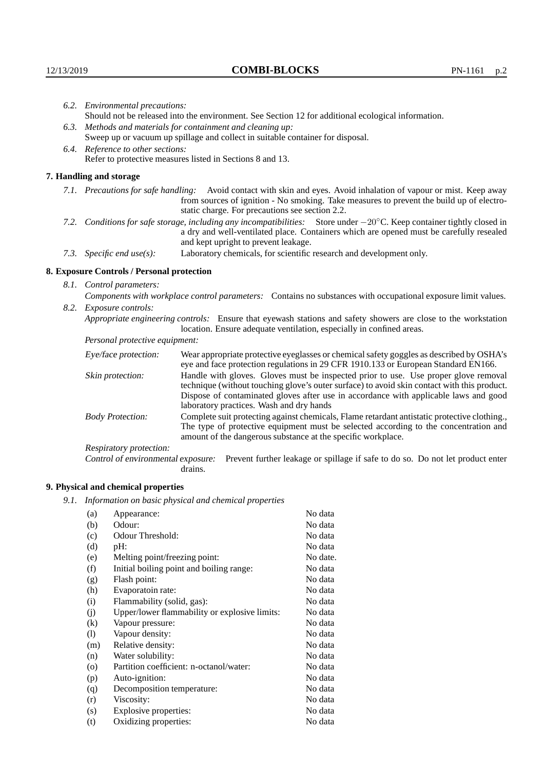|                                   | 6.2. Environmental precautions:                                                                                                                                                        |                                                                                                                                                                                                                                                                     |  |  |  |
|-----------------------------------|----------------------------------------------------------------------------------------------------------------------------------------------------------------------------------------|---------------------------------------------------------------------------------------------------------------------------------------------------------------------------------------------------------------------------------------------------------------------|--|--|--|
|                                   | Should not be released into the environment. See Section 12 for additional ecological information.                                                                                     |                                                                                                                                                                                                                                                                     |  |  |  |
|                                   | 6.3. Methods and materials for containment and cleaning up:                                                                                                                            |                                                                                                                                                                                                                                                                     |  |  |  |
|                                   |                                                                                                                                                                                        | Sweep up or vacuum up spillage and collect in suitable container for disposal.                                                                                                                                                                                      |  |  |  |
| 6.4. Reference to other sections: |                                                                                                                                                                                        |                                                                                                                                                                                                                                                                     |  |  |  |
|                                   | Refer to protective measures listed in Sections 8 and 13.                                                                                                                              |                                                                                                                                                                                                                                                                     |  |  |  |
|                                   | 7. Handling and storage                                                                                                                                                                |                                                                                                                                                                                                                                                                     |  |  |  |
|                                   |                                                                                                                                                                                        | 7.1. Precautions for safe handling: Avoid contact with skin and eyes. Avoid inhalation of vapour or mist. Keep away<br>from sources of ignition - No smoking. Take measures to prevent the build up of electro-<br>static charge. For precautions see section 2.2.  |  |  |  |
|                                   |                                                                                                                                                                                        | 7.2. Conditions for safe storage, including any incompatibilities: Store under $-20^{\circ}$ C. Keep container tightly closed in<br>a dry and well-ventilated place. Containers which are opened must be carefully resealed<br>and kept upright to prevent leakage. |  |  |  |
|                                   | 7.3. Specific end use(s):                                                                                                                                                              | Laboratory chemicals, for scientific research and development only.                                                                                                                                                                                                 |  |  |  |
|                                   | 8. Exposure Controls / Personal protection                                                                                                                                             |                                                                                                                                                                                                                                                                     |  |  |  |
|                                   | 8.1. Control parameters:                                                                                                                                                               |                                                                                                                                                                                                                                                                     |  |  |  |
|                                   |                                                                                                                                                                                        | Components with workplace control parameters: Contains no substances with occupational exposure limit values.                                                                                                                                                       |  |  |  |
|                                   | 8.2. Exposure controls:                                                                                                                                                                |                                                                                                                                                                                                                                                                     |  |  |  |
|                                   | Appropriate engineering controls: Ensure that eyewash stations and safety showers are close to the workstation<br>location. Ensure adequate ventilation, especially in confined areas. |                                                                                                                                                                                                                                                                     |  |  |  |
|                                   | Personal protective equipment:                                                                                                                                                         |                                                                                                                                                                                                                                                                     |  |  |  |
|                                   | Eye/face protection:                                                                                                                                                                   | Wear appropriate protective eyeglasses or chemical safety goggles as described by OSHA's<br>eye and face protection regulations in 29 CFR 1910.133 or European Standard EN166.                                                                                      |  |  |  |
|                                   | Skin protection:                                                                                                                                                                       | Handle with gloves. Gloves must be inspected prior to use. Use proper glove removal<br>technique (without touching glove's outer surface) to avoid skin contact with this product.                                                                                  |  |  |  |

## **8. Exposure Controls / Personal protection**

| Eye/face protection:               | Wear appropriate protective eyeglasses or chemical safety goggles as described by OSHA's<br>eye and face protection regulations in 29 CFR 1910.133 or European Standard EN166.                                                                                                                                         |
|------------------------------------|------------------------------------------------------------------------------------------------------------------------------------------------------------------------------------------------------------------------------------------------------------------------------------------------------------------------|
| Skin protection:                   | Handle with gloves. Gloves must be inspected prior to use. Use proper glove removal<br>technique (without touching glove's outer surface) to avoid skin contact with this product.<br>Dispose of contaminated gloves after use in accordance with applicable laws and good<br>laboratory practices. Wash and dry hands |
| <b>Body Protection:</b>            | Complete suit protecting against chemicals, Flame retardant antistatic protective clothing.<br>The type of protective equipment must be selected according to the concentration and<br>amount of the dangerous substance at the specific workplace.                                                                    |
| Respiratory protection:            |                                                                                                                                                                                                                                                                                                                        |
| Control of environmental exposure: | Prevent further leakage or spillage if safe to do so. Do not let product enter<br>drains.                                                                                                                                                                                                                              |

## **9. Physical and chemical properties**

*9.1. Information on basic physical and chemical properties*

| (a)       | Appearance:                                   | No data  |
|-----------|-----------------------------------------------|----------|
| (b)       | Odour:                                        | No data  |
| (c)       | Odour Threshold:                              | No data  |
| (d)       | pH:                                           | No data  |
| (e)       | Melting point/freezing point:                 | No date. |
| (f)       | Initial boiling point and boiling range:      | No data  |
| (g)       | Flash point:                                  | No data  |
| (h)       | Evaporatoin rate:                             | No data  |
| (i)       | Flammability (solid, gas):                    | No data  |
| (j)       | Upper/lower flammability or explosive limits: | No data  |
| $\rm(k)$  | Vapour pressure:                              | No data  |
| (1)       | Vapour density:                               | No data  |
| (m)       | Relative density:                             | No data  |
| (n)       | Water solubility:                             | No data  |
| $\rm (o)$ | Partition coefficient: n-octanol/water:       | No data  |
| (p)       | Auto-ignition:                                | No data  |
| (q)       | Decomposition temperature:                    | No data  |
| (r)       | Viscosity:                                    | No data  |
| (s)       | Explosive properties:                         | No data  |
| (t)       | Oxidizing properties:                         | No data  |